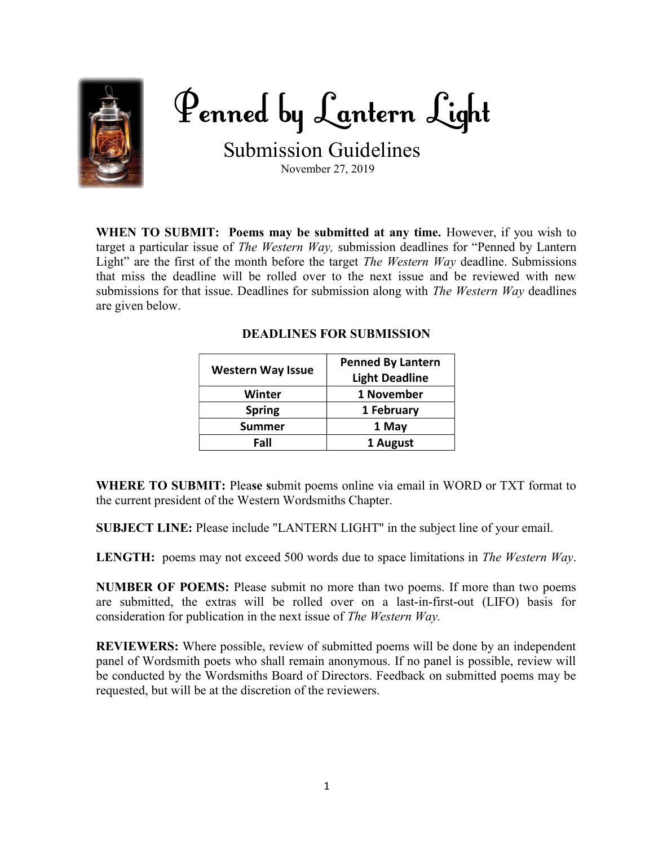

Penned by Lantern Light

Submission Guidelines

November 27, 2019

WHEN TO SUBMIT: Poems may be submitted at any time. However, if you wish to target a particular issue of *The Western Way*, submission deadlines for "Penned by Lantern Light" are the first of the month before the target The Western Way deadline. Submissions that miss the deadline will be rolled over to the next issue and be reviewed with new submissions for that issue. Deadlines for submission along with *The Western Way* deadlines are given below.

| <b>Western Way Issue</b> | <b>Penned By Lantern</b> |
|--------------------------|--------------------------|
|                          | <b>Light Deadline</b>    |
| <b>Winter</b>            | 1 November               |
| <b>Spring</b>            | 1 February               |
| <b>Summer</b>            | 1 May                    |
| Fall                     | 1 August                 |

## DEADLINES FOR SUBMISSION

WHERE TO SUBMIT: Please submit poems online via email in WORD or TXT format to the current president of the Western Wordsmiths Chapter.

SUBJECT LINE: Please include "LANTERN LIGHT" in the subject line of your email.

LENGTH: poems may not exceed 500 words due to space limitations in The Western Way.

NUMBER OF POEMS: Please submit no more than two poems. If more than two poems are submitted, the extras will be rolled over on a last-in-first-out (LIFO) basis for consideration for publication in the next issue of The Western Way.

REVIEWERS: Where possible, review of submitted poems will be done by an independent panel of Wordsmith poets who shall remain anonymous. If no panel is possible, review will be conducted by the Wordsmiths Board of Directors. Feedback on submitted poems may be requested, but will be at the discretion of the reviewers.